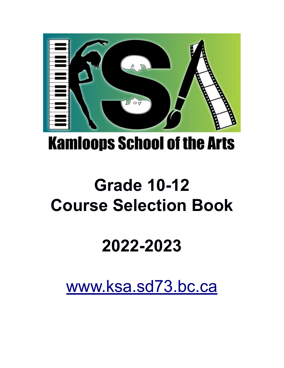

# **Kamioops School of the Arts**

# **Grade 10-12 Course Selection Book**

# **2022-2023**

[www.ksa.sd73.bc.ca](http://www.ksa.sd73.bc.ca/)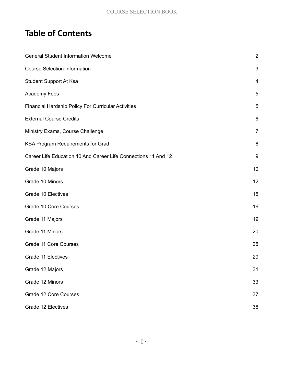# **Table of Contents**

| <b>General Student Information Welcome</b>                     |                           |  |  |  |
|----------------------------------------------------------------|---------------------------|--|--|--|
| <b>Course Selection Information</b>                            | $\ensuremath{\mathsf{3}}$ |  |  |  |
| Student Support At Ksa                                         | $\overline{a}$            |  |  |  |
| <b>Academy Fees</b>                                            | 5                         |  |  |  |
| Financial Hardship Policy For Curricular Activities            | 5                         |  |  |  |
| <b>External Course Credits</b>                                 | 6                         |  |  |  |
| Ministry Exams, Course Challenge                               | $\overline{7}$            |  |  |  |
| KSA Program Requirements for Grad                              | 8                         |  |  |  |
| Career Life Education 10 And Career Life Connections 11 And 12 | $\boldsymbol{9}$          |  |  |  |
| Grade 10 Majors                                                | 10                        |  |  |  |
| Grade 10 Minors                                                | 12                        |  |  |  |
| Grade 10 Electives                                             | 15                        |  |  |  |
| Grade 10 Core Courses                                          | 16                        |  |  |  |
| Grade 11 Majors                                                | 19                        |  |  |  |
| Grade 11 Minors                                                | 20                        |  |  |  |
| Grade 11 Core Courses                                          | 25                        |  |  |  |
| Grade 11 Electives                                             | 29                        |  |  |  |
| Grade 12 Majors                                                | 31                        |  |  |  |
| Grade 12 Minors                                                | 33                        |  |  |  |
| Grade 12 Core Courses                                          | 37                        |  |  |  |
| Grade 12 Electives                                             | 38                        |  |  |  |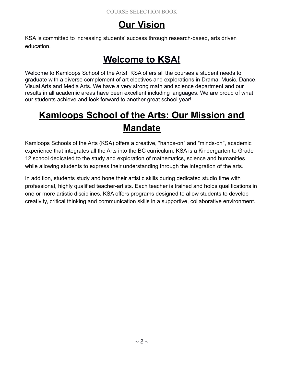# **Our Vision**

KSA is committed to increasing students' success through research-based, arts driven education.

# **Welcome to KSA!**

Welcome to Kamloops School of the Arts! KSA offers all the courses a student needs to graduate with a diverse complement of art electives and explorations in Drama, Music, Dance, Visual Arts and Media Arts. We have a very strong math and science department and our results in all academic areas have been excellent including languages. We are proud of what our students achieve and look forward to another great school year!

# **Kamloops School of the Arts: Our Mission and Mandate**

Kamloops Schools of the Arts (KSA) offers a creative, "hands-on" and "minds-on", academic experience that integrates all the Arts into the BC curriculum. KSA is a Kindergarten to Grade 12 school dedicated to the study and exploration of mathematics, science and humanities while allowing students to express their understanding through the integration of the arts.

In addition, students study and hone their artistic skills during dedicated studio time with professional, highly qualified teacher-artists. Each teacher is trained and holds qualifications in one or more artistic disciplines. KSA offers programs designed to allow students to develop creativity, critical thinking and communication skills in a supportive, collaborative environment.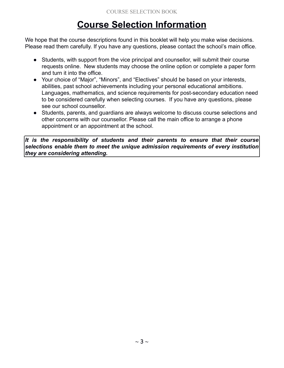# **Course Selection Information**

We hope that the course descriptions found in this booklet will help you make wise decisions. Please read them carefully. If you have any questions, please contact the school's main office.

- Students, with support from the vice principal and counsellor, will submit their course requests online. New students may choose the online option or complete a paper form and turn it into the office.
- Your choice of "Major", "Minors", and "Electives" should be based on your interests, abilities, past school achievements including your personal educational ambitions. Languages, mathematics, and science requirements for post-secondary education need to be considered carefully when selecting courses. If you have any questions, please see our school counsellor.
- Students, parents, and guardians are always welcome to discuss course selections and other concerns with our counsellor. Please call the main office to arrange a phone appointment or an appointment at the school.

*It is the responsibility of students and their parents to ensure that their course selections enable them to meet the unique admission requirements of every institution they are considering attending.*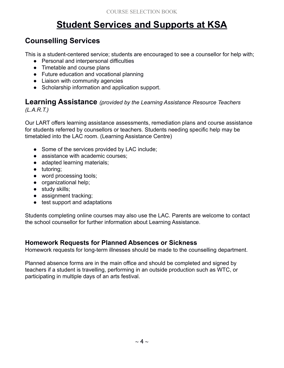# **Student Services and Supports at KSA**

### **Counselling Services**

This is a student-centered service; students are encouraged to see a counsellor for help with;

- Personal and interpersonal difficulties
- Timetable and course plans
- Future education and vocational planning
- Liaison with community agencies
- Scholarship information and application support.

#### **Learning Assistance** *(provided by the Learning Assistance Resource Teachers (L.A.R.T.)*

Our LART offers learning assistance assessments, remediation plans and course assistance for students referred by counsellors or teachers. Students needing specific help may be timetabled into the LAC room. (Learning Assistance Centre)

- Some of the services provided by LAC include;
- assistance with academic courses;
- adapted learning materials;
- tutoring;
- word processing tools;
- organizational help;
- study skills;
- assignment tracking;
- test support and adaptations

Students completing online courses may also use the LAC. Parents are welcome to contact the school counsellor for further information about Learning Assistance.

#### **Homework Requests for Planned Absences or Sickness**

Homework requests for long-term illnesses should be made to the counselling department.

Planned absence forms are in the main office and should be completed and signed by teachers if a student is travelling, performing in an outside production such as WTC, or participating in multiple days of an arts festival.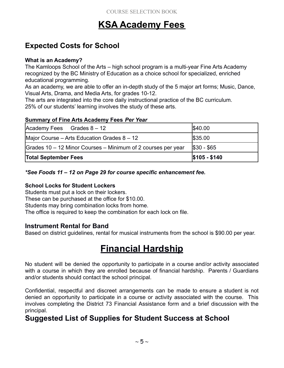# **KSA Academy Fees**

### **Expected Costs for School**

#### **What is an Academy?**

The Kamloops School of the Arts – high school program is a multi-year Fine Arts Academy recognized by the BC Ministry of Education as a choice school for specialized, enriched educational programming.

As an academy, we are able to offer an in-depth study of the 5 major art forms; Music, Dance, Visual Arts, Drama, and Media Arts, for grades 10-12.

The arts are integrated into the core daily instructional practice of the BC curriculum. 25% of our students' learning involves the study of these arts.

#### **Summary of Fine Arts Academy Fees** *Per Year*

| $\vert$ Academy Fees Grades 8 – 12                           | \$40.00       |
|--------------------------------------------------------------|---------------|
| Major Course – Arts Education Grades $8 - 12$                | \$35.00       |
| Grades 10 – 12 Minor Courses – Minimum of 2 courses per year | $ $30 - $65$  |
| <b>Total September Fees</b>                                  | $$105 - $140$ |

#### *\*See Foods 11 – 12 on Page 29 for course specific enhancement fee.*

#### **School Locks for Student Lockers**

Students must put a lock on their lockers.

These can be purchased at the office for \$10.00.

Students may bring combination locks from home.

The office is required to keep the combination for each lock on file.

#### **Instrument Rental for Band**

Based on district guidelines, rental for musical instruments from the school is \$90.00 per year.

# **Financial Hardship**

No student will be denied the opportunity to participate in a course and/or activity associated with a course in which they are enrolled because of financial hardship. Parents / Guardians and/or students should contact the school principal.

Confidential, respectful and discreet arrangements can be made to ensure a student is not denied an opportunity to participate in a course or activity associated with the course. This involves completing the District 73 Financial Assistance form and a brief discussion with the principal.

### **Suggested List of Supplies for Student Success at School**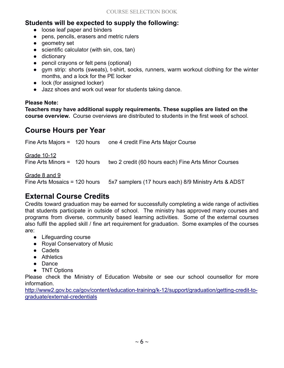#### **Students will be expected to supply the following:**

- loose leaf paper and binders
- pens, pencils, erasers and metric rulers
- geometry set
- scientific calculator (with sin, cos, tan)
- dictionary
- pencil crayons or felt pens (optional)
- gym strip: shorts (sweats), t-shirt, socks, runners, warm workout clothing for the winter months, and a lock for the PE locker
- lock (for assigned locker)
- Jazz shoes and work out wear for students taking dance.

#### **Please Note:**

**Teachers may have additional supply requirements. These supplies are listed on the course overview.** Course overviews are distributed to students in the first week of school.

### **Course Hours per Year**

Fine Arts Majors = 120 hours one 4 credit Fine Arts Major Course Grade 10-12 Fine Arts Minors = 120 hours two 2 credit (60 hours each) Fine Arts Minor Courses Grade 8 and 9 Fine Arts Mosaics = 120 hours  $5x7$  samplers (17 hours each) 8/9 Ministry Arts & ADST

### **External Course Credits**

Credits toward graduation may be earned for successfully completing a wide range of activities that students participate in outside of school. The ministry has approved many courses and programs from diverse, community based learning activities. Some of the external courses also fulfil the applied skill / fine art requirement for graduation. Some examples of the courses are:

- Lifeguarding course
- Royal Conservatory of Music
- Cadets
- Athletics
- Dance
- TNT Options

Please check the Ministry of Education Website or see our school counsellor for more information.

[http://www2.gov.bc.ca/gov/content/education-training/k-12/support/graduation/getting-credit-to](http://www2.gov.bc.ca/gov/content/education-training/k-12/support/graduation/getting-credit-to-graduate/external-credentials)[graduate/external-credentials](http://www2.gov.bc.ca/gov/content/education-training/k-12/support/graduation/getting-credit-to-graduate/external-credentials)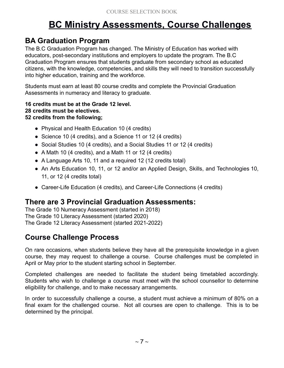# **BC Ministry Assessments, Course Challenges**

### **BA Graduation Program**

The B.C Graduation Program has changed. The Ministry of Education has worked with educators, post-secondary institutions and employers to update the program. The B.C Graduation Program ensures that students graduate from secondary school as educated citizens, with the knowledge, competencies, and skills they will need to transition successfully into higher education, training and the workforce.

Students must earn at least 80 course credits and complete the Provincial Graduation Assessments in numeracy and literacy to graduate.

**16 credits must be at the Grade 12 level. 28 credits must be electives. 52 credits from the following;**

- Physical and Health Education 10 (4 credits)
- Science 10 (4 credits), and a Science 11 or 12 (4 credits)
- Social Studies 10 (4 credits), and a Social Studies 11 or 12 (4 credits)
- A Math 10 (4 credits), and a Math 11 or 12 (4 credits)
- A Language Arts 10, 11 and a required 12 (12 credits total)
- An Arts Education 10, 11, or 12 and/or an Applied Design, Skills, and Technologies 10, 11, or 12 (4 credits total)
- Career-Life Education (4 credits), and Career-Life Connections (4 credits)

### **There are 3 Provincial Graduation Assessments:**

The Grade 10 Numeracy Assessment (started in 2018) The Grade 10 Literacy Assessment (started 2020) The Grade 12 Literacy Assessment (started 2021-2022)

### **Course Challenge Process**

On rare occasions, when students believe they have all the prerequisite knowledge in a given course, they may request to challenge a course. Course challenges must be completed in April or May prior to the student starting school in September.

Completed challenges are needed to facilitate the student being timetabled accordingly. Students who wish to challenge a course must meet with the school counsellor to determine eligibility for challenge, and to make necessary arrangements.

In order to successfully challenge a course, a student must achieve a minimum of 80% on a final exam for the challenged course. Not all courses are open to challenge. This is to be determined by the principal.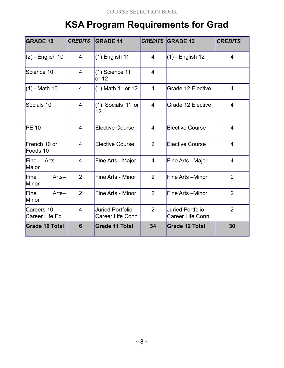# **KSA Program Requirements for Grad**

| <b>GRADE 10</b>              | <b>CREDITS</b> | <b>GRADE 11</b>                             |                | <b>CREDITS GRADE 12</b>                            | <b>CREDITS</b> |
|------------------------------|----------------|---------------------------------------------|----------------|----------------------------------------------------|----------------|
| $(2)$ - English 10           | $\overline{4}$ | $(1)$ English 11                            | 4              | $(1)$ - English 12                                 | $\overline{4}$ |
| Science 10                   | 4              | $(1)$ Science 11<br>or 12                   | $\overline{4}$ |                                                    |                |
| $(1)$ - Math 10              | 4              | (1) Math 11 or 12                           | 4              | Grade 12 Elective                                  | $\overline{4}$ |
| Socials 10                   | $\overline{4}$ | (1) Socials 11 or<br>$ 12\rangle$           | $\overline{4}$ | Grade 12 Elective                                  | $\overline{4}$ |
| <b>PE 10</b>                 | $\overline{4}$ | <b>Elective Course</b>                      | 4              | <b>Elective Course</b>                             | $\overline{4}$ |
| French 10 or<br>Foods 10     | $\overline{4}$ | <b>Elective Course</b>                      | $\overline{2}$ | <b>Elective Course</b>                             | $\overline{4}$ |
| Arts<br>Fine<br>Major        | $\overline{4}$ | Fine Arts - Major                           | $\overline{4}$ | Fine Arts-Major                                    | $\overline{4}$ |
| Fine<br>Arts-<br>Minor       | $\overline{2}$ | Fine Arts - Minor                           | $\overline{2}$ | Fine Arts -Minor                                   | $\overline{2}$ |
| Fine<br>Arts-<br>Minor       | $\overline{2}$ | Fine Arts - Minor                           | $\overline{2}$ | Fine Arts -Minor                                   | $\overline{2}$ |
| Careers 10<br>Career Life Ed | $\overline{4}$ | <b>Juried Portfolio</b><br>Career Life Conn | $\overline{2}$ | <b>Juried Portfolio</b><br><b>Career Life Conn</b> | $\overline{2}$ |
| <b>Grade 10 Total</b>        | 6              | <b>Grade 11 Total</b>                       | 34             | <b>Grade 12 Total</b>                              | 30             |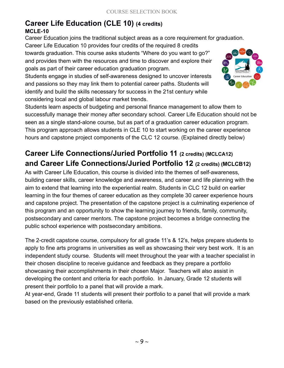# **Career Life Education (CLE 10) (4 credits)**

#### **MCLE-10**

Career Education joins the traditional subject areas as a core requirement for graduation.

Career Life Education 10 provides four credits of the required 8 credits towards graduation. This course asks students "Where do you want to go?" and provides them with the resources and time to discover and explore their goals as part of their career education graduation program.

Students engage in studies of self-awareness designed to uncover interests and passions so they may link them to potential career paths. Students will identify and build the skills necessary for success in the 21st century while considering local and global labour market trends.



Students learn aspects of budgeting and personal finance management to allow them to successfully manage their money after secondary school. Career Life Education should not be seen as a single stand-alone course, but as part of a graduation career education program. This program approach allows students in CLE 10 to start working on the career experience hours and capstone project components of the CLC 12 course. (Explained directly below)

### **Career Life Connections/Juried Portfolio 11 (2 credits) (MCLCA12) and Career Life Connections/Juried Portfolio 12 (2 credits) (MCLCB12)**

As with Career Life Education, this course is divided into the themes of self-awareness, building career skills, career knowledge and awareness, and career and life planning with the aim to extend that learning into the experiential realm. Students in CLC 12 build on earlier learning in the four themes of career education as they complete 30 career experience hours and capstone project. The presentation of the capstone project is a culminating experience of this program and an opportunity to show the learning journey to friends, family, community, postsecondary and career mentors. The capstone project becomes a bridge connecting the public school experience with postsecondary ambitions.

The 2-credit capstone course, compulsory for all grade 11's & 12's, helps prepare students to apply to fine arts programs in universities as well as showcasing their very best work. It is an independent study course. Students will meet throughout the year with a teacher specialist in their chosen discipline to receive guidance and feedback as they prepare a portfolio showcasing their accomplishments in their chosen Major. Teachers will also assist in developing the content and criteria for each portfolio. In January, Grade 12 students will present their portfolio to a panel that will provide a mark.

At year-end, Grade 11 students will present their portfolio to a panel that will provide a mark based on the previously established criteria.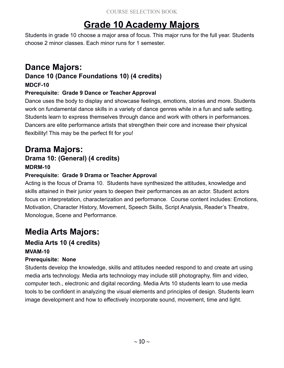# **Grade 10 Academy Majors**

Students in grade 10 choose a major area of focus. This major runs for the full year. Students choose 2 minor classes. Each minor runs for 1 semester.

# **Dance Majors:**

### **Dance 10 (Dance Foundations 10) (4 credits)**

#### **MDCF-10**

#### **Prerequisite: Grade 9 Dance or Teacher Approval**

Dance uses the body to display and showcase feelings, emotions, stories and more. Students work on fundamental dance skills in a variety of dance genres while in a fun and safe setting. Students learn to express themselves through dance and work with others in performances. Dancers are elite performance artists that strengthen their core and increase their physical flexibility! This may be the perfect fit for you!

# **Drama Majors:**

#### **Drama 10: (General) (4 credits) MDRM-10**

#### **Prerequisite: Grade 9 Drama or Teacher Approval**

Acting is the focus of Drama 10. Students have synthesized the attitudes, knowledge and skills attained in their junior years to deepen their performances as an actor. Student actors focus on interpretation, characterization and performance. Course content includes: Emotions, Motivation, Character History, Movement, Speech Skills, Script Analysis, Reader's Theatre, Monologue, Scene and Performance.

# **Media Arts Majors:**

#### **Media Arts 10 (4 credits) MVAM-10**

#### **Prerequisite: None**

Students develop the knowledge, skills and attitudes needed respond to and create art using media arts technology. Media arts technology may include still photography, film and video, computer tech., electronic and digital recording. Media Arts 10 students learn to use media tools to be confident in analyzing the visual elements and principles of design. Students learn image development and how to effectively incorporate sound, movement, time and light.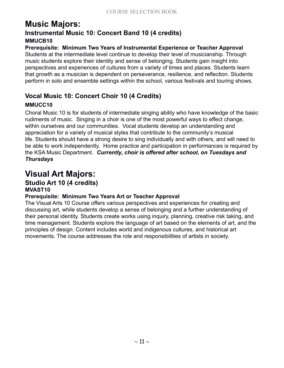#### **Music Majors: Instrumental Music 10: Concert Band 10 (4 credits) MMUCB10**

#### **Prerequisite: Minimum Two Years of Instrumental Experience or Teacher Approval**

Students at the intermediate level continue to develop their level of musicianship. Through music students explore their identity and sense of belonging. Students gain insight into perspectives and experiences of cultures from a variety of times and places. Students learn that growth as a musician is dependent on perseverance, resilience, and reflection. Students perform in solo and ensemble settings within the school, various festivals and touring shows.

#### **Vocal Music 10: Concert Choir 10 (4 Credits)**

#### **MMUCC10**

Choral Music 10 is for students of intermediate singing ability who have knowledge of the basic rudiments of music. Singing in a choir is one of the most powerful ways to effect change, within ourselves and our communities. Vocal students develop an understanding and appreciation for a variety of musical styles that contribute to the community's musical life. Students should have a strong desire to sing individually and with others, and will need to be able to work independently. Home practice and participation in performances is required by the KSA Music Department. *Currently, choir is offered after school, on Tuesdays and Thursdays*

### **Visual Art Majors:**

#### **Studio Art 10 (4 credits) MVAST10**

#### **Prerequisite: Minimum Two Years Art or Teacher Approval**

The Visual Arts 10 Course offers various perspectives and experiences for creating and discussing art, while students develop a sense of belonging and a further understanding of their personal identity. Students create works using inquiry, planning, creative risk taking, and time management. Students explore the language of art based on the elements of art, and the principles of design. Content includes world and indigenous cultures, and historical art movements. The course addresses the role and responsibilities of artists in society.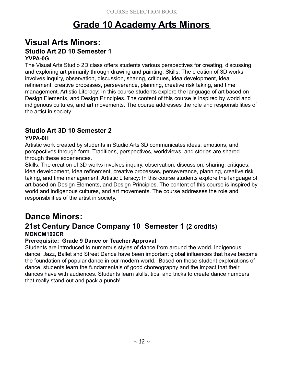# **Grade 10 Academy Arts Minors**

#### **Visual Arts Minors: Studio Art 2D 10 Semester 1 YVPA-0G**

The Visual Arts Studio 2D class offers students various perspectives for creating, discussing and exploring art primarily through drawing and painting. Skills: The creation of 3D works involves inquiry, observation, discussion, sharing, critiques, idea development, idea refinement, creative processes, perseverance, planning, creative risk taking, and time management. Artistic Literacy: In this course students explore the language of art based on Design Elements, and Design Principles. The content of this course is inspired by world and indigenous cultures, and art movements. The course addresses the role and responsibilities of the artist in society.

#### **Studio Art 3D 10 Semester 2**

#### **YVPA-0H**

Artistic work created by students in Studio Arts 3D communicates ideas, emotions, and perspectives through form. Traditions, perspectives, worldviews, and stories are shared through these experiences.

Skills: The creation of 3D works involves inquiry, observation, discussion, sharing, critiques, idea development, idea refinement, creative processes, perseverance, planning, creative risk taking, and time management. Artistic Literacy: In this course students explore the language of art based on Design Elements, and Design Principles. The content of this course is inspired by world and indigenous cultures, and art movements. The course addresses the role and responsibilities of the artist in society.

### **Dance Minors:**

#### **21st Century Dance Company 10 Semester 1 (2 credits) MDNCM102CR**

#### **Prerequisite: Grade 9 Dance or Teacher Approval**

Students are introduced to numerous styles of dance from around the world. Indigenous dance, Jazz, Ballet and Street Dance have been important global influences that have become the foundation of popular dance in our modern world. Based on these student explorations of dance, students learn the fundamentals of good choreography and the impact that their dances have with audiences. Students learn skills, tips, and tricks to create dance numbers that really stand out and pack a punch!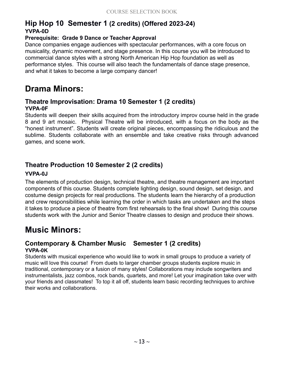### **Hip Hop 10 Semester 1 (2 credits) (Offered 2023-24) YVPA-0D**

#### **Prerequisite: Grade 9 Dance or Teacher Approval**

Dance companies engage audiences with spectacular performances, with a core focus on musicality, dynamic movement, and stage presence. In this course you will be introduced to commercial dance styles with a strong North American Hip Hop foundation as well as performance styles. This course will also teach the fundamentals of dance stage presence, and what it takes to become a large company dancer!

### **Drama Minors:**

#### **Theatre Improvisation: Drama 10 Semester 1 (2 credits) YVPA-0F**

Students will deepen their skills acquired from the introductory improv course held in the grade 8 and 9 art mosaic. Physical Theatre will be introduced, with a focus on the body as the "honest instrument". Students will create original pieces, encompassing the ridiculous and the sublime. Students collaborate with an ensemble and take creative risks through advanced games, and scene work.

#### **Theatre Production 10 Semester 2 (2 credits)**

#### **YVPA-0J**

The elements of production design, technical theatre, and theatre management are important components of this course. Students complete lighting design, sound design, set design, and costume design projects for real productions. The students learn the hierarchy of a production and crew responsibilities while learning the order in which tasks are undertaken and the steps it takes to produce a piece of theatre from first rehearsals to the final show! During this course students work with the Junior and Senior Theatre classes to design and produce their shows.

# **Music Minors:**

#### **Contemporary & Chamber Music Semester 1 (2 credits) YVPA-0K**

Students with musical experience who would like to work in small groups to produce a variety of music will love this course! From duets to larger chamber groups students explore music in traditional, contemporary or a fusion of many styles! Collaborations may include songwriters and instrumentalists, jazz combos, rock bands, quartets, and more! Let your imagination take over with your friends and classmates! To top it all off, students learn basic recording techniques to archive their works and collaborations.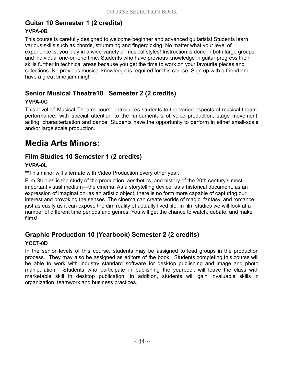### **Guitar 10 Semester 1 (2 credits)**

#### **YVPA-0B**

This course is carefully designed to welcome beginner and advanced guitarists! Students learn various skills such as chords, strumming and fingerpicking. No matter what your level of experience is, you play in a wide variety of musical styles! Instruction is done in both large groups and individual one-on-one time. Students who have previous knowledge in guitar progress their skills further in technical areas because you get the time to work on your favourite pieces and selections. No previous musical knowledge is required for this course. Sign up with a friend and have a great time jamming!

#### **Senior Musical Theatre10 Semester 2 (2 credits)**

#### **YVPA-0C**

This level of Musical Theatre course introduces students to the varied aspects of musical theatre performance, with special attention to the fundamentals of voice production, stage movement, acting, characterization and dance. Students have the opportunity to perform in either small-scale and/or large scale production.

### **Media Arts Minors:**

#### **Film Studies 10 Semester 1** (**2 credits)**

#### **YVPA-0L**

**\*\***This minor will alternate with Video Production every other year.

Film Studies is the study of the production, aesthetics, and history of the 20th century's most important visual medium—the cinema. As a storytelling device, as a historical document, as an expression of imagination, as an artistic object, there is no form more capable of capturing our interest and provoking the senses. The cinema can create worlds of magic, fantasy, and romance just as easily as it can expose the dim reality of actually lived life. In film studies we will look at a number of different time periods and genres. You will get the chance to watch, debate, and make films!

#### **Graphic Production 10 (Yearbook) Semester 2 (2 credits)**

#### **YCCT-0D**

In the senior levels of this course, students may be assigned to lead groups in the production process. They may also be assigned as editors of the book. Students completing this course will be able to work with industry standard software for desktop publishing and image and photo manipulation. Students who participate in publishing the yearbook will leave the class with marketable skill in desktop publication. In addition, students will gain invaluable skills in organization, teamwork and business practices.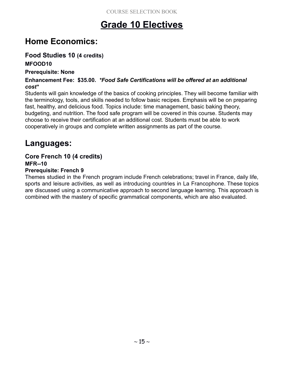# **Grade 10 Electives**

# **Home Economics:**

### **Food Studies 10 (4 credits)**

#### **MFOOD10**

#### **Prerequisite: None**

#### **Enhancement Fee: \$35.00.** *\*Food Safe Certifications will be offered at an additional cost\**

Students will gain knowledge of the basics of cooking principles. They will become familiar with the terminology, tools, and skills needed to follow basic recipes. Emphasis will be on preparing fast, healthy, and delicious food. Topics include: time management, basic baking theory, budgeting, and nutrition. The food safe program will be covered in this course. Students may choose to receive their certification at an additional cost. Students must be able to work cooperatively in groups and complete written assignments as part of the course.

# **Languages:**

#### **Core French 10 (4 credits)**

**MFR--10**

#### **Prerequisite: French 9**

Themes studied in the French program include French celebrations; travel in France, daily life, sports and leisure activities, as well as introducing countries in La Francophone. These topics are discussed using a communicative approach to second language learning. This approach is combined with the mastery of specific grammatical components, which are also evaluated.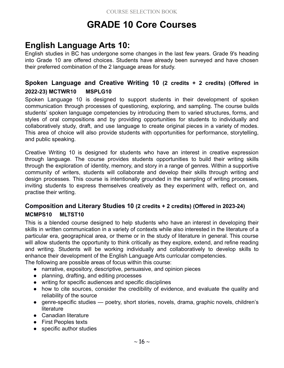# **GRADE 10 Core Courses**

# **English Language Arts 10:**

English studies in BC has undergone some changes in the last few years. Grade 9's heading into Grade 10 are offered choices. Students have already been surveyed and have chosen their preferred combination of the 2 language areas for study.

#### **Spoken Language and Creative Writing 10 (2 credits + 2 credits) (Offered in 2022-23) MCTWR10 MSPLG10**

Spoken Language 10 is designed to support students in their development of spoken communication through processes of questioning, exploring, and sampling. The course builds students' spoken language competencies by introducing them to varied structures, forms, and styles of oral compositions and by providing opportunities for students to individually and collaboratively study, draft, and use language to create original pieces in a variety of modes. This area of choice will also provide students with opportunities for performance, storytelling, and public speaking.

Creative Writing 10 is designed for students who have an interest in creative expression through language. The course provides students opportunities to build their writing skills through the exploration of identity, memory, and story in a range of genres. Within a supportive community of writers, students will collaborate and develop their skills through writing and design processes. This course is intentionally grounded in the sampling of writing processes, inviting students to express themselves creatively as they experiment with, reflect on, and practise their writing.

#### **Composition and Literary Studies 10 (2 credits + 2 credits) (Offered in 2023-24) MCMPS10 MLTST10**

This is a blended course designed to help students who have an interest in developing their skills in written communication in a variety of contexts while also interested in the literature of a particular era, geographical area, or theme or in the study of literature in general. This course will allow students the opportunity to think critically as they explore, extend, and refine reading and writing. Students will be working individually and collaboratively to develop skills to enhance their development of the English Language Arts curricular competencies.

The following are possible areas of focus within this course:

- narrative, expository, descriptive, persuasive, and opinion pieces
- planning, drafting, and editing processes
- writing for specific audiences and specific disciplines
- how to cite sources, consider the credibility of evidence, and evaluate the quality and reliability of the source
- genre-specific studies poetry, short stories, novels, drama, graphic novels, children's literature
- Canadian literature
- First Peoples texts
- specific author studies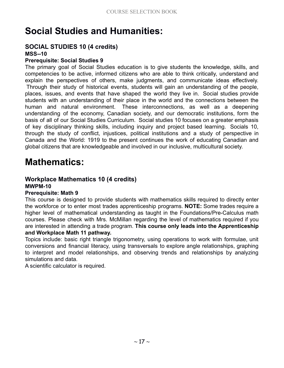# **Social Studies and Humanities:**

### **SOCIAL STUDIES 10 (4 credits)**

#### **MSS--10**

#### **Prerequisite: Social Studies 9**

The primary goal of Social Studies education is to give students the knowledge, skills, and competencies to be active, informed citizens who are able to think critically, understand and explain the perspectives of others, make judgments, and communicate ideas effectively. Through their study of historical events, students will gain an understanding of the people, places, issues, and events that have shaped the world they live in. Social studies provide students with an understanding of their place in the world and the connections between the human and natural environment. These interconnections, as well as a deepening understanding of the economy, Canadian society, and our democratic institutions, form the basis of all of our Social Studies Curriculum. Social studies 10 focuses on a greater emphasis of key disciplinary thinking skills, including inquiry and project based learning. Socials 10, through the study of conflict, injustices, political institutions and a study of perspective in Canada and the World: 1919 to the present continues the work of educating Canadian and global citizens that are knowledgeable and involved in our inclusive, multicultural society.

# **Mathematics:**

### **Workplace Mathematics 10 (4 credits)**

**MWPM-10**

#### **Prerequisite: Math 9**

This course is designed to provide students with mathematics skills required to directly enter the workforce or to enter most trades apprenticeship programs. **NOTE:** Some trades require a higher level of mathematical understanding as taught in the Foundations/Pre-Calculus math courses. Please check with Mrs. McMillan regarding the level of mathematics required if you are interested in attending a trade program. **This course only leads into the Apprenticeship and Workplace Math 11 pathway.**

#### Topics include: basic right triangle trigonometry, using operations to work with formulae, unit conversions and financial literacy, using transversals to explore angle relationships, graphing to interpret and model relationships, and observing trends and relationships by analyzing simulations and data.

A scientific calculator is required.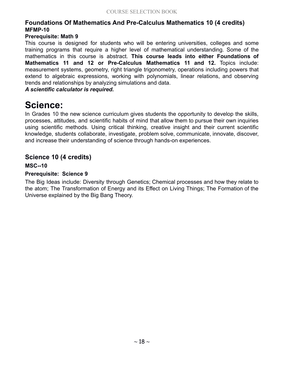#### **Foundations Of Mathematics And Pre-Calculus Mathematics 10 (4 credits) MFMP-10**

#### **Prerequisite: Math 9**

This course is designed for students who will be entering universities, colleges and some training programs that require a higher level of mathematical understanding. Some of the mathematics in this course is abstract. **This course leads into either Foundations of Mathematics 11 and 12 or Pre-Calculus Mathematics 11 and 12.** Topics include: measurement systems, geometry, right triangle trigonometry, operations including powers that extend to algebraic expressions, working with polynomials, linear relations, and observing trends and relationships by analyzing simulations and data.

#### *A scientific calculator is required.*

# **Science:**

In Grades 10 the new science curriculum gives students the opportunity to develop the skills, processes, attitudes, and scientific habits of mind that allow them to pursue their own inquiries using scientific methods. Using critical thinking, creative insight and their current scientific knowledge, students collaborate, investigate, problem solve, communicate, innovate, discover, and increase their understanding of science through hands-on experiences.

#### **Science 10 (4 credits)**

#### **MSC--10**

#### **Prerequisite: Science 9**

The Big Ideas include: Diversity through Genetics; Chemical processes and how they relate to the atom; The Transformation of Energy and its Effect on Living Things; The Formation of the Universe explained by the Big Bang Theory.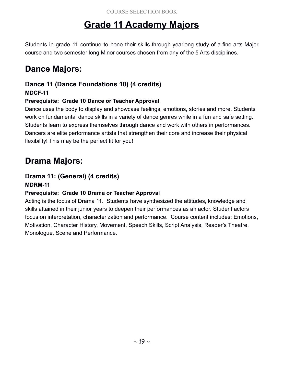# **Grade 11 Academy Majors**

Students in grade 11 continue to hone their skills through yearlong study of a fine arts Major course and two semester long Minor courses chosen from any of the 5 Arts disciplines.

# **Dance Majors:**

### **Dance 11 (Dance Foundations 10) (4 credits)**

#### **MDCF-11**

#### **Prerequisite: Grade 10 Dance or Teacher Approval**

Dance uses the body to display and showcase feelings, emotions, stories and more. Students work on fundamental dance skills in a variety of dance genres while in a fun and safe setting. Students learn to express themselves through dance and work with others in performances. Dancers are elite performance artists that strengthen their core and increase their physical flexibility! This may be the perfect fit for you!

# **Drama Majors:**

#### **Drama 11: (General) (4 credits)**

#### **MDRM-11**

#### **Prerequisite: Grade 10 Drama or Teacher Approval**

Acting is the focus of Drama 11. Students have synthesized the attitudes, knowledge and skills attained in their junior years to deepen their performances as an actor. Student actors focus on interpretation, characterization and performance. Course content includes: Emotions, Motivation, Character History, Movement, Speech Skills, Script Analysis, Reader's Theatre, Monologue, Scene and Performance.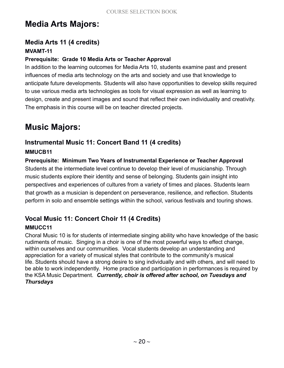# **Media Arts Majors:**

#### **Media Arts 11 (4 credits) MVAMT-11**

#### **Prerequisite: Grade 10 Media Arts or Teacher Approval**

In addition to the learning outcomes for Media Arts 10, students examine past and present influences of media arts technology on the arts and society and use that knowledge to anticipate future developments. Students will also have opportunities to develop skills required to use various media arts technologies as tools for visual expression as well as learning to design, create and present images and sound that reflect their own individuality and creativity. The emphasis in this course will be on teacher directed projects.

# **Music Majors:**

#### **Instrumental Music 11: Concert Band 11 (4 credits)**

#### **MMUCB11**

**Prerequisite: Minimum Two Years of Instrumental Experience or Teacher Approval** Students at the intermediate level continue to develop their level of musicianship. Through music students explore their identity and sense of belonging. Students gain insight into perspectives and experiences of cultures from a variety of times and places. Students learn that growth as a musician is dependent on perseverance, resilience, and reflection. Students perform in solo and ensemble settings within the school, various festivals and touring shows.

#### **Vocal Music 11: Concert Choir 11 (4 Credits) MMUCC11**

Choral Music 10 is for students of intermediate singing ability who have knowledge of the basic rudiments of music. Singing in a choir is one of the most powerful ways to effect change, within ourselves and our communities. Vocal students develop an understanding and appreciation for a variety of musical styles that contribute to the community's musical life. Students should have a strong desire to sing individually and with others, and will need to be able to work independently. Home practice and participation in performances is required by the KSA Music Department. *Currently, choir is offered after school, on Tuesdays and Thursdays*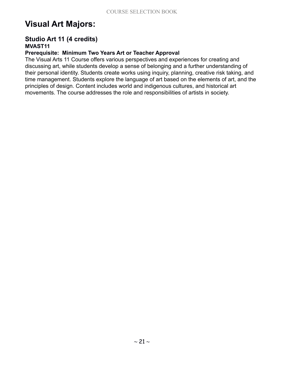# **Visual Art Majors:**

#### **Studio Art 11 (4 credits) MVAST11**

#### **Prerequisite: Minimum Two Years Art or Teacher Approval**

The Visual Arts 11 Course offers various perspectives and experiences for creating and discussing art, while students develop a sense of belonging and a further understanding of their personal identity. Students create works using inquiry, planning, creative risk taking, and time management. Students explore the language of art based on the elements of art, and the principles of design. Content includes world and indigenous cultures, and historical art movements. The course addresses the role and responsibilities of artists in society.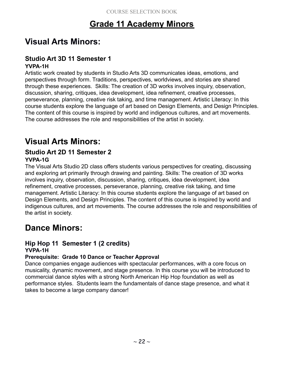# **Grade 11 Academy Minors**

# **Visual Arts Minors:**

#### **Studio Art 3D 11 Semester 1 YVPA-1H**

Artistic work created by students in Studio Arts 3D communicates ideas, emotions, and perspectives through form. Traditions, perspectives, worldviews, and stories are shared through these experiences. Skills: The creation of 3D works involves inquiry, observation, discussion, sharing, critiques, idea development, idea refinement, creative processes, perseverance, planning, creative risk taking, and time management. Artistic Literacy: In this course students explore the language of art based on Design Elements, and Design Principles. The content of this course is inspired by world and indigenous cultures, and art movements. The course addresses the role and responsibilities of the artist in society.

### **Visual Arts Minors:**

#### **Studio Art 2D 11 Semester 2 YVPA-1G**

The Visual Arts Studio 2D class offers students various perspectives for creating, discussing and exploring art primarily through drawing and painting. Skills: The creation of 3D works involves inquiry, observation, discussion, sharing, critiques, idea development, idea refinement, creative processes, perseverance, planning, creative risk taking, and time management. Artistic Literacy: In this course students explore the language of art based on Design Elements, and Design Principles. The content of this course is inspired by world and indigenous cultures, and art movements. The course addresses the role and responsibilities of the artist in society.

# **Dance Minors:**

#### **Hip Hop 11 Semester 1 (2 credits) YVPA-1H**

#### **Prerequisite: Grade 10 Dance or Teacher Approval**

Dance companies engage audiences with spectacular performances, with a core focus on musicality, dynamic movement, and stage presence. In this course you will be introduced to commercial dance styles with a strong North American Hip Hop foundation as well as performance styles. Students learn the fundamentals of dance stage presence, and what it takes to become a large company dancer!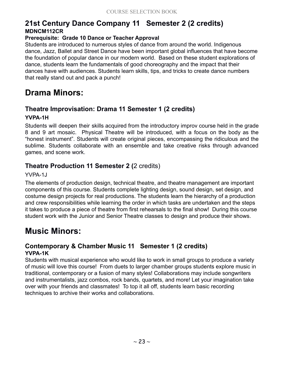#### **21st Century Dance Company 11 Semester 2 (2 credits) MDNCM112CR**

#### **Prerequisite: Grade 10 Dance or Teacher Approval**

Students are introduced to numerous styles of dance from around the world. Indigenous dance, Jazz, Ballet and Street Dance have been important global influences that have become the foundation of popular dance in our modern world. Based on these student explorations of dance, students learn the fundamentals of good choreography and the impact that their dances have with audiences. Students learn skills, tips, and tricks to create dance numbers that really stand out and pack a punch!

### **Drama Minors:**

#### **Theatre Improvisation: Drama 11 Semester 1 (2 credits) YVPA-1H**

Students will deepen their skills acquired from the introductory improv course held in the grade 8 and 9 art mosaic. Physical Theatre will be introduced, with a focus on the body as the "honest instrument". Students will create original pieces, encompassing the ridiculous and the sublime. Students collaborate with an ensemble and take creative risks through advanced games, and scene work.

#### **Theatre Production 11 Semester 2 (**2 credits)

YVPA-1J

The elements of production design, technical theatre, and theatre management are important components of this course. Students complete lighting design, sound design, set design, and costume design projects for real productions. The students learn the hierarchy of a production and crew responsibilities while learning the order in which tasks are undertaken and the steps it takes to produce a piece of theatre from first rehearsals to the final show! During this course student work with the Junior and Senior Theatre classes to design and produce their shows.

# **Music Minors:**

#### **Contemporary & Chamber Music 11 Semester 1 (2 credits) YVPA-1K**

Students with musical experience who would like to work in small groups to produce a variety of music will love this course! From duets to larger chamber groups students explore music in traditional, contemporary or a fusion of many styles! Collaborations may include songwriters and instrumentalists, jazz combos, rock bands, quartets, and more! Let your imagination take over with your friends and classmates! To top it all off, students learn basic recording techniques to archive their works and collaborations.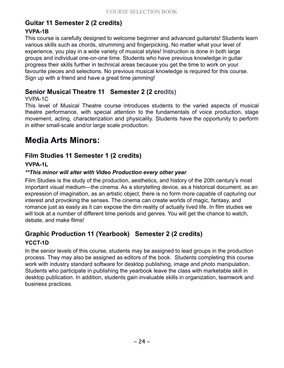### **Guitar 11 Semester 2 (2 credits)**

#### **YVPA-1B**

This course is carefully designed to welcome beginner and advanced guitarists! Students learn various skills such as chords, strumming and fingerpicking. No matter what your level of experience, you play in a wide variety of musical styles! Instruction is done in both large groups and individual one-on-one time. Students who have previous knowledge in guitar progress their skills further in technical areas because you get the time to work on your favourite pieces and selections. No previous musical knowledge is required for this course. Sign up with a friend and have a great time jamming!

#### **Senior Musical Theatre 11 Semester 2 (2 cr**edits)

#### YVPA-1C

This level of Musical Theatre course introduces students to the varied aspects of musical theatre performance, with special attention to the fundamentals of voice production, stage movement, acting, characterization and physicality. Students have the opportunity to perform in either small-scale and/or large scale production.

# **Media Arts Minors:**

#### **Film Studies 11 Semester 1 (2 credits)**

#### **YVPA-1L**

#### *\*\*This minor will alter with Video Production every other year.*

Film Studies is the study of the production, aesthetics, and history of the 20th century's most important visual medium—the cinema. As a storytelling device, as a historical document, as an expression of imagination, as an artistic object, there is no form more capable of capturing our interest and provoking the senses. The cinema can create worlds of magic, fantasy, and romance just as easily as it can expose the dim reality of actually lived life. In film studies we will look at a number of different time periods and genres. You will get the chance to watch, debate, and make films!

#### **Graphic Production 11 (Yearbook) Semester 2 (2 credits) YCCT-1D**

In the senior levels of this course, students may be assigned to lead groups in the production process. They may also be assigned as editors of the book. Students completing this course work with industry standard software for desktop publishing, image and photo manipulation. Students who participate in publishing the yearbook leave the class with marketable skill in desktop publication. In addition, students gain invaluable skills in organization, teamwork and business practices.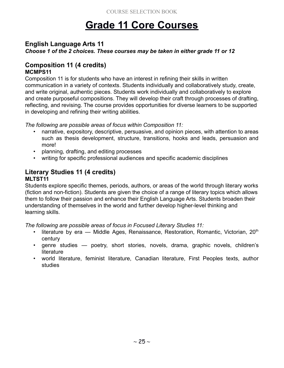# **Grade 11 Core Courses**

#### **English Language Arts 11**

*Choose 1 of the 2 choices. These courses may be taken in either grade 11 or 12*

#### **Composition 11 (4 credits) MCMPS11**

Composition 11 is for students who have an interest in refining their skills in written communication in a variety of contexts. Students individually and collaboratively study, create, and write original, authentic pieces. Students work individually and collaboratively to explore and create purposeful compositions. They will develop their craft through processes of drafting, reflecting, and revising. The course provides opportunities for diverse learners to be supported in developing and refining their writing abilities.

*The following are possible areas of focus within Composition 11:*

- narrative, expository, descriptive, persuasive, and opinion pieces, with attention to areas such as thesis development, structure, transitions, hooks and leads, persuasion and more!
- planning, drafting, and editing processes
- writing for specific professional audiences and specific academic disciplines

#### **Literary Studies 11 (4 credits) MLTST11**

Students explore specific themes, periods, authors, or areas of the world through literary works (fiction and non-fiction). Students are given the choice of a range of literary topics which allows them to follow their passion and enhance their English Language Arts. Students broaden their understanding of themselves in the world and further develop higher-level thinking and learning skills.

*The following are possible areas of focus in Focused Literary Studies 11:*

- literature by era  $-$  Middle Ages, Renaissance, Restoration, Romantic, Victorian, 20<sup>th</sup> century
- genre studies poetry, short stories, novels, drama, graphic novels, children's **literature**
- world literature, feminist literature, Canadian literature, First Peoples texts, author studies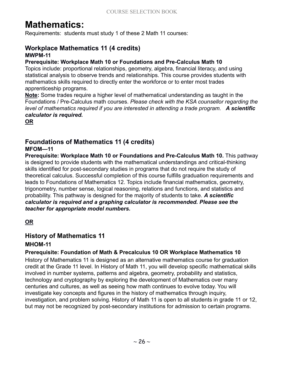# **Mathematics:**

Requirements: students must study 1 of these 2 Math 11 courses:

#### **Workplace Mathematics 11 (4 credits) MWPM-11**

#### **Prerequisite: Workplace Math 10 or Foundations and Pre-Calculus Math 10**

Topics include: proportional relationships, geometry, algebra, financial literacy, and using statistical analysis to observe trends and relationships. This course provides students with mathematics skills required to directly enter the workforce or to enter most trades apprenticeship programs.

**Note:** Some trades require a higher level of mathematical understanding as taught in the Foundations / Pre-Calculus math courses. *Please check with the KSA counsellor regarding the level of mathematics required if you are interested in attending a trade program. A scientific calculator is required.*

**OR**

#### **Foundations of Mathematics 11 (4 credits) MFOM—11**

**Prerequisite: Workplace Math 10 or Foundations and Pre-Calculus Math 10.** This pathway is designed to provide students with the mathematical understandings and critical-thinking skills identified for post-secondary studies in programs that do not require the study of theoretical calculus. Successful completion of this course fulfills graduation requirements and leads to Foundations of Mathematics 12. Topics include financial mathematics, geometry, trigonometry, number sense, logical reasoning, relations and functions, and statistics and probability. This pathway is designed for the majority of students to take. *A scientific calculator is required and a graphing calculator is recommended. Please see the teacher for appropriate model numbers.*

**OR**

#### **History of Mathematics 11**

#### **MHOM-11**

#### **Prerequisite: Foundation of Math & Precalculus 10 OR Workplace Mathematics 10**

History of Mathematics 11 is designed as an alternative mathematics course for graduation credit at the Grade 11 level. In History of Math 11, you will develop specific mathematical skills involved in number systems, patterns and algebra, geometry, probability and statistics, technology and cryptography by exploring the development of Mathematics over many centuries and cultures, as well as seeing how math continues to evolve today. You will investigate key concepts and figures in the history of mathematics through inquiry, investigation, and problem solving. History of Math 11 is open to all students in grade 11 or 12, but may not be recognized by post-secondary institutions for admission to certain programs.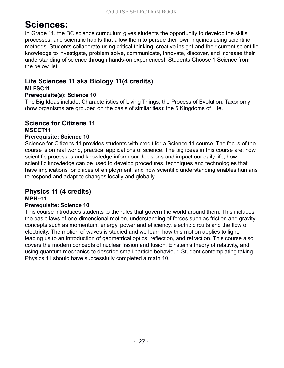# **Sciences:**

In Grade 11, the BC science curriculum gives students the opportunity to develop the skills, processes, and scientific habits that allow them to pursue their own inquiries using scientific methods. Students collaborate using critical thinking, creative insight and their current scientific knowledge to investigate, problem solve, communicate, innovate, discover, and increase their understanding of science through hands-on experiences! Students Choose 1 Science from the below list.

#### **Life Sciences 11 aka Biology 11(4 credits) MLFSC11**

#### **Prerequisite(s): Science 10**

The Big Ideas include: Characteristics of Living Things; the Process of Evolution; Taxonomy (how organisms are grouped on the basis of similarities); the 5 Kingdoms of Life.

#### **Science for Citizens 11 MSCCT11**

#### **Prerequisite: Science 10**

Science for Citizens 11 provides students with credit for a Science 11 course. The focus of the course is on real world, practical applications of science. The big ideas in this course are: how scientific processes and knowledge inform our decisions and impact our daily life; how scientific knowledge can be used to develop procedures, techniques and technologies that have implications for places of employment; and how scientific understanding enables humans to respond and adapt to changes locally and globally.

#### **Physics 11 (4 credits)**

#### **MPH--11**

#### **Prerequisite: Science 10**

This course introduces students to the rules that govern the world around them. This includes the basic laws of one-dimensional motion, understanding of forces such as friction and gravity, concepts such as momentum, energy, power and efficiency, electric circuits and the flow of electricity. The motion of waves is studied and we learn how this motion applies to light, leading us to an introduction of geometrical optics, reflection, and refraction. This course also covers the modern concepts of nuclear fission and fusion, Einstein's theory of relativity, and using quantum mechanics to describe small particle behaviour. Student contemplating taking Physics 11 should have successfully completed a math 10.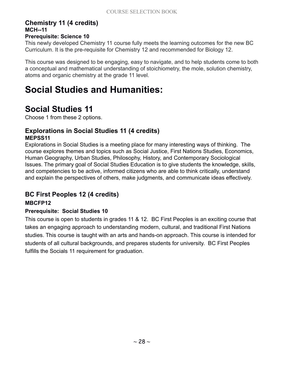#### **Chemistry 11 (4 credits) MCH--11**

#### **Prerequisite: Science 10**

This newly developed Chemistry 11 course fully meets the learning outcomes for the new BC Curriculum. It is the pre-requisite for Chemistry 12 and recommended for Biology 12.

This course was designed to be engaging, easy to navigate, and to help students come to both a conceptual and mathematical understanding of stoichiometry, the mole, solution chemistry, atoms and organic chemistry at the grade 11 level.

# **Social Studies and Humanities:**

### **Social Studies 11**

Choose 1 from these 2 options.

#### **Explorations in Social Studies 11 (4 credits) MEPSS11**

Explorations in Social Studies is a meeting place for many interesting ways of thinking. The course explores themes and topics such as Social Justice, First Nations Studies, Economics, Human Geography, Urban Studies, Philosophy, History, and Contemporary Sociological Issues. The primary goal of Social Studies Education is to give students the knowledge, skills, and competencies to be active, informed citizens who are able to think critically, understand and explain the perspectives of others, make judgments, and communicate ideas effectively.

#### **BC First Peoples 12 (4 credits)**

#### **MBCFP12**

#### **Prerequisite: Social Studies 10**

This course is open to students in grades 11 & 12. BC First Peoples is an exciting course that takes an engaging approach to understanding modern, cultural, and traditional First Nations studies. This course is taught with an arts and hands-on approach. This course is intended for students of all cultural backgrounds, and prepares students for university. BC First Peoples fulfills the Socials 11 requirement for graduation.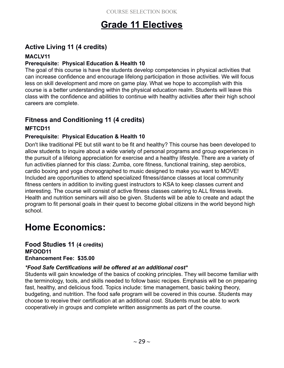# **Grade 11 Electives**

### **Active Living 11 (4 credits)**

#### **MACLV11**

#### **Prerequisite: Physical Education & Health 10**

The goal of this course is have the students develop competencies in physical activities that can increase confidence and encourage lifelong participation in those activities. We will focus less on skill development and more on game play. What we hope to accomplish with this course is a better understanding within the physical education realm. Students will leave this class with the confidence and abilities to continue with healthy activities after their high school careers are complete.

# **Fitness and Conditioning 11 (4 credits)**

#### **MFTCD11**

#### **Prerequisite: Physical Education & Health 10**

Don't like traditional PE but still want to be fit and healthy? This course has been developed to allow students to inquire about a wide variety of personal programs and group experiences in the pursuit of a lifelong appreciation for exercise and a healthy lifestyle. There are a variety of fun activities planned for this class: Zumba, core fitness, functional training, step aerobics, cardio boxing and yoga choreographed to music designed to make you want to MOVE! Included are opportunities to attend specialized fitness/dance classes at local community fitness centers in addition to inviting guest instructors to KSA to keep classes current and interesting. The course will consist of active fitness classes catering to ALL fitness levels. Health and nutrition seminars will also be given. Students will be able to create and adapt the program to fit personal goals in their quest to become global citizens in the world beyond high school.

# **Home Economics:**

#### **Food Studies 11 (4 credits) MFOOD11 Enhancement Fee: \$35.00**

#### *\*Food Safe Certifications will be offered at an additional cost\**

Students will gain knowledge of the basics of cooking principles. They will become familiar with the terminology, tools, and skills needed to follow basic recipes. Emphasis will be on preparing fast, healthy, and delicious food. Topics include: time management, basic baking theory, budgeting, and nutrition. The food safe program will be covered in this course. Students may choose to receive their certification at an additional cost. Students must be able to work cooperatively in groups and complete written assignments as part of the course.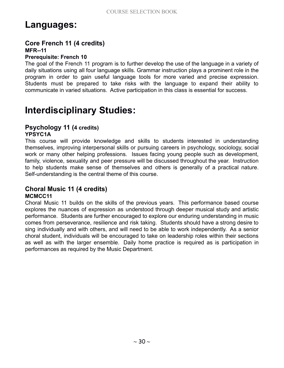# **Languages:**

#### **Core French 11 (4 credits) MFR--11**

#### **Prerequisite: French 10**

The goal of the French 11 program is to further develop the use of the language in a variety of daily situations using all four language skills. Grammar instruction plays a prominent role in the program in order to gain useful language tools for more varied and precise expression. Students must be prepared to take risks with the language to expand their ability to communicate in varied situations. Active participation in this class is essential for success.

# **Interdisciplinary Studies:**

#### **Psychology 11 (4 credits)**

#### **YPSYC1A**

This course will provide knowledge and skills to students interested in understanding themselves, improving interpersonal skills or pursuing careers in psychology, sociology, social work or many other helping professions. Issues facing young people such as development, family, violence, sexuality and peer pressure will be discussed throughout the year. Instruction to help students make sense of themselves and others is generally of a practical nature. Self-understanding is the central theme of this course.

#### **Choral Music 11 (4 credits) MCMCC11**

Choral Music 11 builds on the skills of the previous years. This performance based course explores the nuances of expression as understood through deeper musical study and artistic performance. Students are further encouraged to explore our enduring understanding in music comes from perseverance, resilience and risk taking. Students should have a strong desire to sing individually and with others, and will need to be able to work independently. As a senior choral student, individuals will be encouraged to take on leadership roles within their sections as well as with the larger ensemble. Daily home practice is required as is participation in performances as required by the Music Department.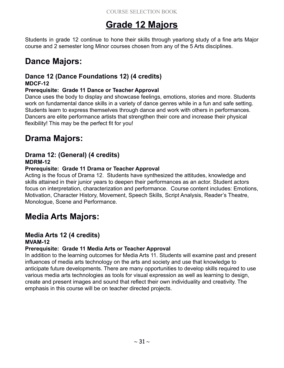# **Grade 12 Majors**

Students in grade 12 continue to hone their skills through yearlong study of a fine arts Major course and 2 semester long Minor courses chosen from any of the 5 Arts disciplines.

# **Dance Majors:**

#### **Dance 12 (Dance Foundations 12) (4 credits) MDCF-12**

#### **Prerequisite: Grade 11 Dance or Teacher Approval**

Dance uses the body to display and showcase feelings, emotions, stories and more. Students work on fundamental dance skills in a variety of dance genres while in a fun and safe setting. Students learn to express themselves through dance and work with others in performances. Dancers are elite performance artists that strengthen their core and increase their physical flexibility! This may be the perfect fit for you!

# **Drama Majors:**

#### **Drama 12: (General) (4 credits) MDRM-12**

#### **Prerequisite: Grade 11 Drama or Teacher Approval**

Acting is the focus of Drama 12. Students have synthesized the attitudes, knowledge and skills attained in their junior years to deepen their performances as an actor. Student actors focus on interpretation, characterization and performance. Course content includes: Emotions, Motivation, Character History, Movement, Speech Skills, Script Analysis, Reader's Theatre, Monologue, Scene and Performance.

### **Media Arts Majors:**

#### **Media Arts 12 (4 credits) MVAM-12**

#### **Prerequisite: Grade 11 Media Arts or Teacher Approval**

In addition to the learning outcomes for Media Arts 11. Students will examine past and present influences of media arts technology on the arts and society and use that knowledge to anticipate future developments. There are many opportunities to develop skills required to use various media arts technologies as tools for visual expression as well as learning to design, create and present images and sound that reflect their own individuality and creativity. The emphasis in this course will be on teacher directed projects.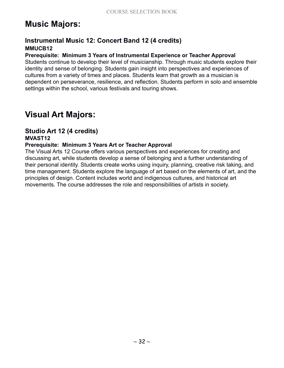# **Music Majors:**

#### **Instrumental Music 12: Concert Band 12 (4 credits) MMUCB12**

#### **Prerequisite: Minimum 3 Years of Instrumental Experience or Teacher Approval**

Students continue to develop their level of musicianship. Through music students explore their identity and sense of belonging. Students gain insight into perspectives and experiences of cultures from a variety of times and places. Students learn that growth as a musician is dependent on perseverance, resilience, and reflection. Students perform in solo and ensemble settings within the school, various festivals and touring shows.

### **Visual Art Majors:**

#### **Studio Art 12 (4 credits) MVAST12**

#### **Prerequisite: Minimum 3 Years Art or Teacher Approval**

The Visual Arts 12 Course offers various perspectives and experiences for creating and discussing art, while students develop a sense of belonging and a further understanding of their personal identity. Students create works using inquiry, planning, creative risk taking, and time management. Students explore the language of art based on the elements of art, and the principles of design. Content includes world and indigenous cultures, and historical art movements. The course addresses the role and responsibilities of artists in society.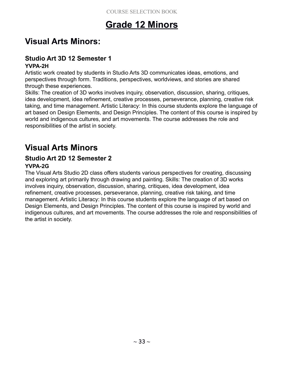# **Grade 12 Minors**

# **Visual Arts Minors:**

#### **Studio Art 3D 12 Semester 1 YVPA-2H**

Artistic work created by students in Studio Arts 3D communicates ideas, emotions, and perspectives through form. Traditions, perspectives, worldviews, and stories are shared through these experiences.

Skills: The creation of 3D works involves inquiry, observation, discussion, sharing, critiques, idea development, idea refinement, creative processes, perseverance, planning, creative risk taking, and time management. Artistic Literacy: In this course students explore the language of art based on Design Elements, and Design Principles. The content of this course is inspired by world and indigenous cultures, and art movements. The course addresses the role and responsibilities of the artist in society.

# **Visual Arts Minors**

#### **Studio Art 2D 12 Semester 2 YVPA-2G**

The Visual Arts Studio 2D class offers students various perspectives for creating, discussing and exploring art primarily through drawing and painting. Skills: The creation of 3D works involves inquiry, observation, discussion, sharing, critiques, idea development, idea refinement, creative processes, perseverance, planning, creative risk taking, and time management. Artistic Literacy: In this course students explore the language of art based on Design Elements, and Design Principles. The content of this course is inspired by world and indigenous cultures, and art movements. The course addresses the role and responsibilities of the artist in society.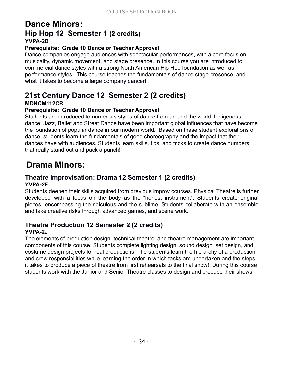### **Dance Minors: Hip Hop 12 Semester 1 (2 credits) YVPA-2D**

#### **Prerequisite: Grade 10 Dance or Teacher Approval**

Dance companies engage audiences with spectacular performances, with a core focus on musicality, dynamic movement, and stage presence. In this course you are introduced to commercial dance styles with a strong North American Hip Hop foundation as well as performance styles. This course teaches the fundamentals of dance stage presence, and what it takes to become a large company dancer!

# **21st Century Dance 12 Semester 2 (2 credits)**

#### **MDNCM112CR**

#### **Prerequisite: Grade 10 Dance or Teacher Approval**

Students are introduced to numerous styles of dance from around the world. Indigenous dance, Jazz, Ballet and Street Dance have been important global influences that have become the foundation of popular dance in our modern world. Based on these student explorations of dance, students learn the fundamentals of good choreography and the impact that their dances have with audiences. Students learn skills, tips, and tricks to create dance numbers that really stand out and pack a punch!

### **Drama Minors:**

#### **Theatre Improvisation: Drama 12 Semester 1 (2 credits) YVPA-2F**

Students deepen their skills acquired from previous improv courses. Physical Theatre is further developed with a focus on the body as the "honest instrument". Students create original pieces, encompassing the ridiculous and the sublime. Students collaborate with an ensemble and take creative risks through advanced games, and scene work.

#### **Theatre Production 12 Semester 2 (2 credits) YVPA-2J**

The elements of production design, technical theatre, and theatre management are important components of this course. Students complete lighting design, sound design, set design, and costume design projects for real productions. The students learn the hierarchy of a production and crew responsibilities while learning the order in which tasks are undertaken and the steps it takes to produce a piece of theatre from first rehearsals to the final show! During this course students work with the Junior and Senior Theatre classes to design and produce their shows.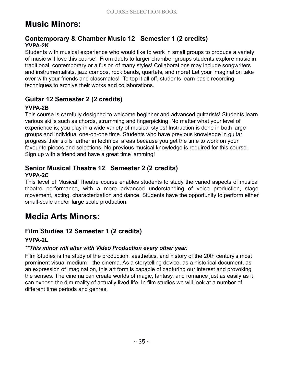# **Music Minors:**

#### **Contemporary & Chamber Music 12 Semester 1 (2 credits) YVPA-2K**

Students with musical experience who would like to work in small groups to produce a variety of music will love this course! From duets to larger chamber groups students explore music in traditional, contemporary or a fusion of many styles! Collaborations may include songwriters and instrumentalists, jazz combos, rock bands, quartets, and more! Let your imagination take over with your friends and classmates! To top it all off, students learn basic recording techniques to archive their works and collaborations.

#### **Guitar 12 Semester 2 (2 credits)**

#### **YVPA-2B**

This course is carefully designed to welcome beginner and advanced guitarists! Students learn various skills such as chords, strumming and fingerpicking. No matter what your level of experience is, you play in a wide variety of musical styles! Instruction is done in both large groups and individual one-on-one time. Students who have previous knowledge in guitar progress their skills further in technical areas because you get the time to work on your favourite pieces and selections. No previous musical knowledge is required for this course. Sign up with a friend and have a great time jamming!

#### **Senior Musical Theatre 12 Semester 2 (2 credits) YVPA-2C**

This level of Musical Theatre course enables students to study the varied aspects of musical theatre performance, with a more advanced understanding of voice production, stage movement, acting, characterization and dance. Students have the opportunity to perform either small-scale and/or large scale production.

### **Media Arts Minors:**

#### **Film Studies 12 Semester 1 (2 credits)**

#### **YVPA-2L**

#### *\*\*This minor will alter with Video Production every other year.*

Film Studies is the study of the production, aesthetics, and history of the 20th century's most prominent visual medium—the cinema. As a storytelling device, as a historical document, as an expression of imagination, this art form is capable of capturing our interest and provoking the senses. The cinema can create worlds of magic, fantasy, and romance just as easily as it can expose the dim reality of actually lived life. In film studies we will look at a number of different time periods and genres.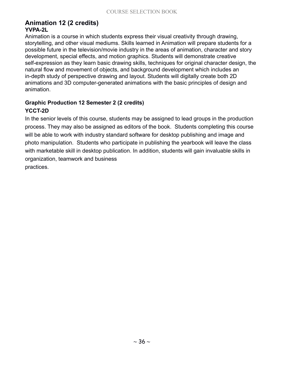#### **Animation 12 (2 credits) YVPA-2L**

Animation is a course in which students express their visual creativity through drawing, storytelling, and other visual mediums. Skills learned in Animation will prepare students for a possible future in the television/movie industry in the areas of animation, character and story development, special effects, and motion graphics. Students will demonstrate creative self-expression as they learn basic drawing skills, techniques for original character design, the natural flow and movement of objects, and background development which includes an in-depth study of perspective drawing and layout. Students will digitally create both 2D animations and 3D computer-generated animations with the basic principles of design and animation.

#### **Graphic Production 12 Semester 2 (2 credits) YCCT-2D**

In the senior levels of this course, students may be assigned to lead groups in the production process. They may also be assigned as editors of the book. Students completing this course will be able to work with industry standard software for desktop publishing and image and photo manipulation. Students who participate in publishing the yearbook will leave the class with marketable skill in desktop publication. In addition, students will gain invaluable skills in organization, teamwork and business practices.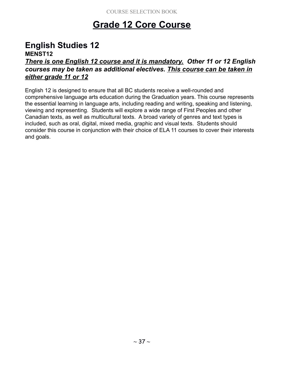# **Grade 12 Core Course**

# **English Studies 12**

#### **MENST12**

#### *There is one English 12 course and it is mandatory. Other 11 or 12 English courses may be taken as additional electives. This course can be taken in either grade 11 or 12*

English 12 is designed to ensure that all BC students receive a well-rounded and comprehensive language arts education during the Graduation years. This course represents the essential learning in language arts, including reading and writing, speaking and listening, viewing and representing. Students will explore a wide range of First Peoples and other Canadian texts, as well as multicultural texts. A broad variety of genres and text types is included, such as oral, digital, mixed media, graphic and visual texts. Students should consider this course in conjunction with their choice of ELA 11 courses to cover their interests and goals.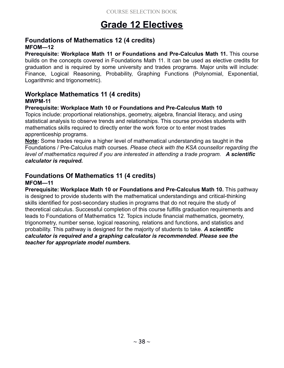# **Grade 12 Electives**

#### **Foundations of Mathematics 12 (4 credits) MFOM—12**

**Prerequisite: Workplace Math 11 or Foundations and Pre-Calculus Math 11.** This course builds on the concepts covered in Foundations Math 11. It can be used as elective credits for graduation and is required by some university and trades programs. Major units will include: Finance, Logical Reasoning, Probability, Graphing Functions (Polynomial, Exponential, Logarithmic and trigonometric).

### **Workplace Mathematics 11 (4 credits)**

#### **MWPM-11**

#### **Prerequisite: Workplace Math 10 or Foundations and Pre-Calculus Math 10**

Topics include: proportional relationships, geometry, algebra, financial literacy, and using statistical analysis to observe trends and relationships. This course provides students with mathematics skills required to directly enter the work force or to enter most trades apprenticeship programs.

**Note:** Some trades require a higher level of mathematical understanding as taught in the Foundations / Pre-Calculus math courses. *Please check with the KSA counsellor regarding the level of mathematics required if you are interested in attending a trade program. A scientific calculator is required.*

### **Foundations Of Mathematics 11 (4 credits)**

#### **MFOM—11**

**Prerequisite: Workplace Math 10 or Foundations and Pre-Calculus Math 10.** This pathway is designed to provide students with the mathematical understandings and critical-thinking skills identified for post-secondary studies in programs that do not require the study of theoretical calculus. Successful completion of this course fulfills graduation requirements and leads to Foundations of Mathematics 12. Topics include financial mathematics, geometry, trigonometry, number sense, logical reasoning, relations and functions, and statistics and probability. This pathway is designed for the majority of students to take. *A scientific calculator is required and a graphing calculator is recommended. Please see the teacher for appropriate model numbers.*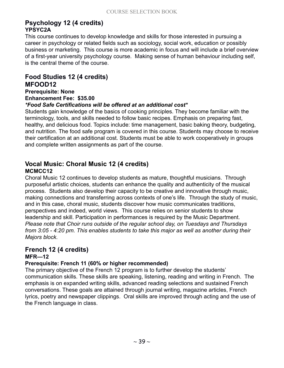#### **Psychology 12 (4 credits) YPSYC2A**

This course continues to develop knowledge and skills for those interested in pursuing a career in psychology or related fields such as sociology, social work, education or possibly business or marketing. This course is more academic in focus and will include a brief overview of a first-year university psychology course. Making sense of human behaviour including self, is the central theme of the course.

#### **Food Studies 12 (4 credits) MFOOD12**

**Prerequisite: None Enhancement Fee: \$35.00** *\*Food Safe Certifications will be offered at an additional cost\**

Students gain knowledge of the basics of cooking principles. They become familiar with the terminology, tools, and skills needed to follow basic recipes. Emphasis on preparing fast, healthy, and delicious food. Topics include: time management, basic baking theory, budgeting, and nutrition. The food safe program is covered in this course. Students may choose to receive their certification at an additional cost. Students must be able to work cooperatively in groups and complete written assignments as part of the course.

#### **Vocal Music: Choral Music 12 (4 credits) MCMCC12**

Choral Music 12 continues to develop students as mature, thoughtful musicians. Through purposeful artistic choices, students can enhance the quality and authenticity of the musical process. Students also develop their capacity to be creative and innovative through music, making connections and transferring across contexts of one's life. Through the study of music, and in this case, choral music, students discover how music communicates traditions, perspectives and indeed, world views. This course relies on senior students to show leadership and skill. Participation in performances is required by the Music Department. *Please note that Choir runs outside of the regular school day, on Tuesdays and Thursdays from 3:05 - 4:20 pm. This enables students to take this major as well as another during their Majors block.*

### **French 12 (4 credits)**

#### **MFR—12**

#### **Prerequisite: French 11 (60% or higher recommended)**

The primary objective of the French 12 program is to further develop the students' communication skills. These skills are speaking, listening, reading and writing in French. The emphasis is on expanded writing skills, advanced reading selections and sustained French conversations. These goals are attained through journal writing, magazine articles, French lyrics, poetry and newspaper clippings. Oral skills are improved through acting and the use of the French language in class.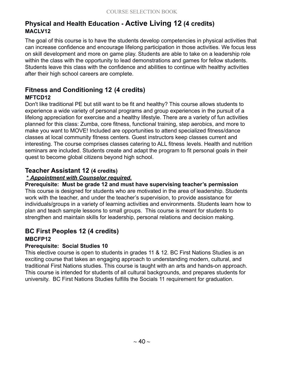#### **Physical and Health Education - Active Living 12 (4 credits) MACLV12**

The goal of this course is to have the students develop competencies in physical activities that can increase confidence and encourage lifelong participation in those activities. We focus less on skill development and more on game play. Students are able to take on a leadership role within the class with the opportunity to lead demonstrations and games for fellow students. Students leave this class with the confidence and abilities to continue with healthy activities after their high school careers are complete.

### **Fitness and Conditioning 12 (4 credits)**

#### **MFTCD12**

Don't like traditional PE but still want to be fit and healthy? This course allows students to experience a wide variety of personal programs and group experiences in the pursuit of a lifelong appreciation for exercise and a healthy lifestyle. There are a variety of fun activities planned for this class: Zumba, core fitness, functional training, step aerobics, and more to make you want to MOVE! Included are opportunities to attend specialized fitness/dance classes at local community fitness centers. Guest instructors keep classes current and interesting. The course comprises classes catering to ALL fitness levels. Health and nutrition seminars are included. Students create and adapt the program to fit personal goals in their quest to become global citizens beyond high school.

#### **Teacher Assistant 12 (4 credits)**

#### **\*** *Appointment with Counselor required.*

**Prerequisite: Must be grade 12 and must have supervising teacher's permission** This course is designed for students who are motivated in the area of leadership. Students work with the teacher, and under the teacher's supervision, to provide assistance for individuals/groups in a variety of learning activities and environments. Students learn how to plan and teach sample lessons to small groups. This course is meant for students to strengthen and maintain skills for leadership, personal relations and decision making.

#### **BC First Peoples 12 (4 credits)**

#### **MBCFP12**

#### **Prerequisite: Social Studies 10**

This elective course is open to students in grades 11 & 12. BC First Nations Studies is an exciting course that takes an engaging approach to understanding modern, cultural, and traditional First Nations studies. This course is taught with an arts and hands-on approach. This course is intended for students of all cultural backgrounds, and prepares students for university. BC First Nations Studies fulfills the Socials 11 requirement for graduation.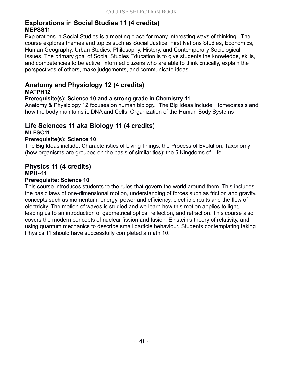#### **Explorations in Social Studies 11 (4 credits) MEPSS11**

Explorations in Social Studies is a meeting place for many interesting ways of thinking. The course explores themes and topics such as Social Justice, First Nations Studies, Economics, Human Geography, Urban Studies, Philosophy, History, and Contemporary Sociological Issues. The primary goal of Social Studies Education is to give students the knowledge, skills, and competencies to be active, informed citizens who are able to think critically, explain the perspectives of others, make judgements, and communicate ideas.

### **Anatomy and Physiology 12 (4 credits)**

#### **MATPH12**

#### **Prerequisite(s): Science 10 and a strong grade in Chemistry 11**

Anatomy & Physiology 12 focuses on human biology. The Big Ideas include: Homeostasis and how the body maintains it; DNA and Cells; Organization of the Human Body Systems

#### **Life Sciences 11 aka Biology 11 (4 credits) MLFSC11**

#### **Prerequisite(s): Science 10**

The Big Ideas include: Characteristics of Living Things; the Process of Evolution; Taxonomy (how organisms are grouped on the basis of similarities); the 5 Kingdoms of Life.

### **Physics 11 (4 credits)**

**MPH--11**

#### **Prerequisite: Science 10**

This course introduces students to the rules that govern the world around them. This includes the basic laws of one-dimensional motion, understanding of forces such as friction and gravity, concepts such as momentum, energy, power and efficiency, electric circuits and the flow of electricity. The motion of waves is studied and we learn how this motion applies to light, leading us to an introduction of geometrical optics, reflection, and refraction. This course also covers the modern concepts of nuclear fission and fusion, Einstein's theory of relativity, and using quantum mechanics to describe small particle behaviour. Students contemplating taking Physics 11 should have successfully completed a math 10.